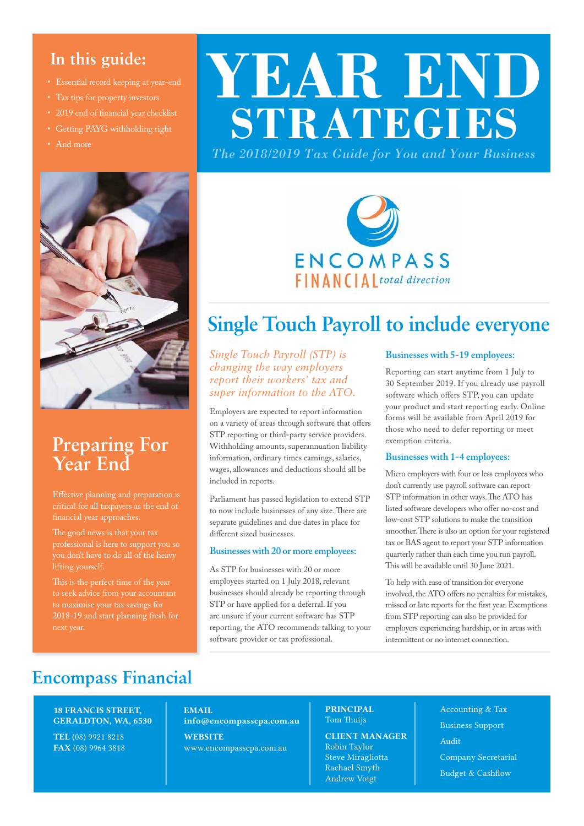### **In this guide:**

- Essential record keeping at year-end
- 
- 
- Getting PAYG withholding right
- And more



### **Preparing For Year End**

critical for all taxpayers as the end of financial year approaches.

The good news is that your tax professional is here to support you so you don't have to do all of the heavy lifting yourself.

to maximise your tax savings for 2018-19 and start planning fresh for

# **YEAR END STRATEGIES**

*The 2018/2019 Tax Guide for You and Your Business*



### **Single Touch Payroll to include everyone**

*Single Touch Payroll (STP) is changing the way employers report their workers' tax and super information to the ATO.*

Employers are expected to report information on a variety of areas through software that offers STP reporting or third-party service providers. Withholding amounts, superannuation liability information, ordinary times earnings, salaries, wages, allowances and deductions should all be included in reports.

Parliament has passed legislation to extend STP to now include businesses of any size. There are separate guidelines and due dates in place for different sized businesses.

#### **Businesses with 20 or more employees:**

As STP for businesses with 20 or more employees started on 1 July 2018, relevant businesses should already be reporting through STP or have applied for a deferral. If you are unsure if your current software has STP reporting, the ATO recommends talking to your software provider or tax professional.

#### **Businesses with 5-19 employees:**

Reporting can start anytime from 1 July to 30 September 2019. If you already use payroll software which offers STP, you can update your product and start reporting early. Online forms will be available from April 2019 for those who need to defer reporting or meet exemption criteria.

#### **Businesses with 1-4 employees:**

Micro employers with four or less employees who don't currently use payroll software can report STP information in other ways. The ATO has listed software developers who offer no-cost and low-cost STP solutions to make the transition smoother. There is also an option for your registered tax or BAS agent to report your STP information quarterly rather than each time you run payroll. This will be available until 30 June 2021.

To help with ease of transition for everyone involved, the ATO offers no penalties for mistakes, missed or late reports for the first year. Exemptions from STP reporting can also be provided for employers experiencing hardship, or in areas with intermittent or no internet connection.

### **Encompass Financial**

#### 18 FRANCIS STREET, GERALDTON, WA, 6530

TEL (08) 9921 8218 FAX (08) 9964 3818

#### EMAIL info@encompasscpa.com.au **WEBSITE**

www.encompasscpa.com.au

#### PRINCIPAL Tom Thuijs

CLIENT MANAGER Robin Taylor Steve Miragliotta Rachael Smyth Andrew Voigt

Accounting & Tax Business Support Audit Company Secretarial Budget & Cashflow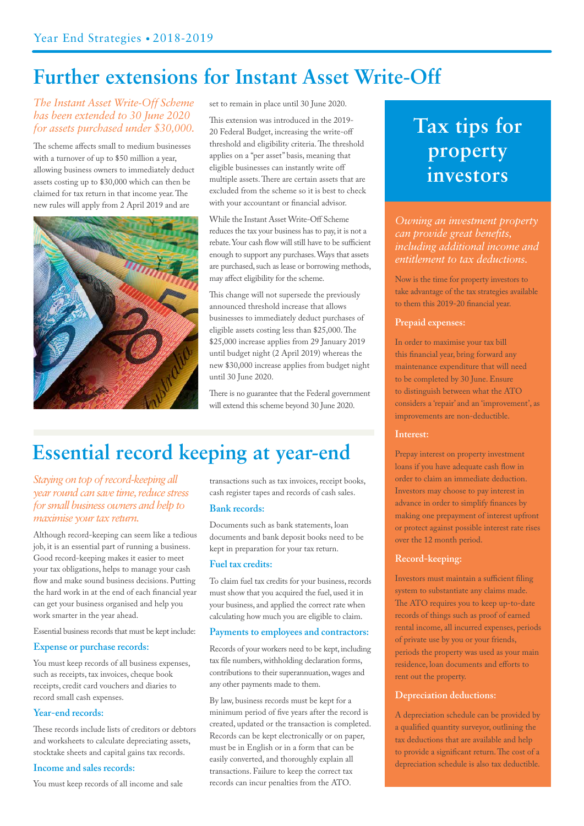### **Further extensions for Instant Asset Write-Off**

#### *The Instant Asset Write-Off Scheme has been extended to 30 June 2020 for assets purchased under \$30,000.*

The scheme affects small to medium businesses with a turnover of up to \$50 million a year, allowing business owners to immediately deduct assets costing up to \$30,000 which can then be claimed for tax return in that income year. The new rules will apply from 2 April 2019 and are



set to remain in place until 30 June 2020.

This extension was introduced in the 2019- 20 Federal Budget, increasing the write-off threshold and eligibility criteria. The threshold applies on a "per asset" basis, meaning that eligible businesses can instantly write off multiple assets. There are certain assets that are excluded from the scheme so it is best to check with your accountant or financial advisor.

#### While the Instant Asset Write-Off Scheme reduces the tax your business has to pay, it is not a rebate. Your cash flow will still have to be sufficient enough to support any purchases. Ways that assets are purchased, such as lease or borrowing methods, may affect eligibility for the scheme.

This change will not supersede the previously announced threshold increase that allows businesses to immediately deduct purchases of eligible assets costing less than \$25,000. The \$25,000 increase applies from 29 January 2019 until budget night (2 April 2019) whereas the new \$30,000 increase applies from budget night until 30 June 2020.

There is no guarantee that the Federal government will extend this scheme beyond 30 June 2020.

## **Essential record keeping at year-end**

#### *Staying on top of record-keeping all year round can save time, reduce stress for small business owners and help to maximise your tax return.*

Although record-keeping can seem like a tedious job, it is an essential part of running a business. Good record-keeping makes it easier to meet your tax obligations, helps to manage your cash flow and make sound business decisions. Putting the hard work in at the end of each financial year can get your business organised and help you work smarter in the year ahead.

Essential business records that must be kept include:

#### **Expense or purchase records:**

You must keep records of all business expenses, such as receipts, tax invoices, cheque book receipts, credit card vouchers and diaries to record small cash expenses.

#### **Year-end records:**

These records include lists of creditors or debtors and worksheets to calculate depreciating assets, stocktake sheets and capital gains tax records.

#### **Income and sales records:**

You must keep records of all income and sale

transactions such as tax invoices, receipt books, cash register tapes and records of cash sales.

#### **Bank records:**

Documents such as bank statements, loan documents and bank deposit books need to be kept in preparation for your tax return.

#### **Fuel tax credits:**

To claim fuel tax credits for your business, records must show that you acquired the fuel, used it in your business, and applied the correct rate when calculating how much you are eligible to claim.

#### **Payments to employees and contractors:**

Records of your workers need to be kept, including tax file numbers, withholding declaration forms, contributions to their superannuation, wages and any other payments made to them.

By law, business records must be kept for a minimum period of five years after the record is created, updated or the transaction is completed. Records can be kept electronically or on paper, must be in English or in a form that can be easily converted, and thoroughly explain all transactions. Failure to keep the correct tax records can incur penalties from the ATO.

## **Tax tips for property investors**

*Owning an investment property can provide great benefits, including additional income and entitlement to tax deductions.* 

Now is the time for property investors to take advantage of the tax strategies available to them this 2019-20 financial year.

#### **Prepaid expenses:**

In order to maximise your tax bill this financial year, bring forward any maintenance expenditure that will need to be completed by 30 June. Ensure to distinguish between what the ATO considers a 'repair' and an 'improvement', as improvements are non-deductible.

#### **Interest:**

Prepay interest on property investment loans if you have adequate cash flow in order to claim an immediate deduction. Investors may choose to pay interest in advance in order to simplify finances by making one prepayment of interest upfront or protect against possible interest rate rises over the 12 month period.

#### **Record-keeping:**

Investors must maintain a sufficient filing system to substantiate any claims made. The ATO requires you to keep up-to-date records of things such as proof of earned rental income, all incurred expenses, periods of private use by you or your friends, periods the property was used as your main residence, loan documents and efforts to rent out the property.

#### **Depreciation deductions:**

A depreciation schedule can be provided by a qualified quantity surveyor, outlining the tax deductions that are available and help to provide a significant return. The cost of a depreciation schedule is also tax deductible.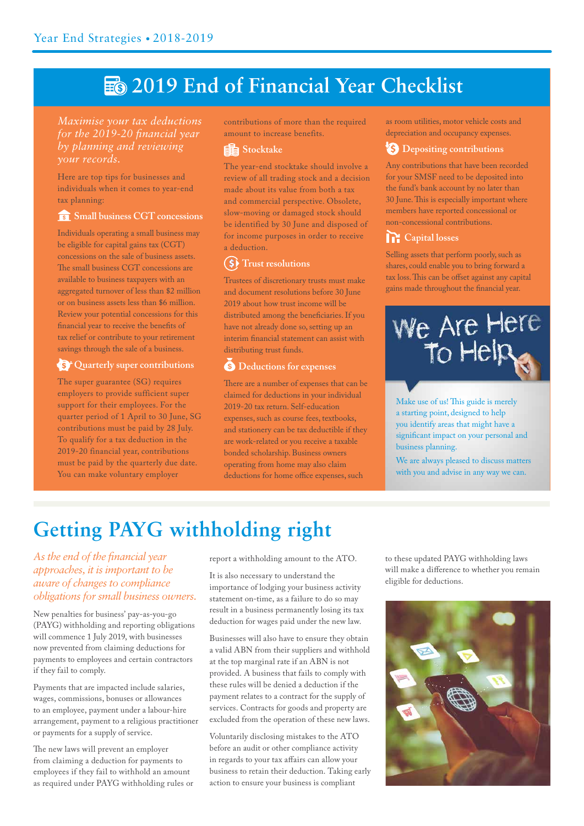# **E** 2019 End of Financial Year Checklist

#### *Maximise your tax deductions for the 2019-20 financial year by planning and reviewing your records.*

Here are top tips for businesses and individuals when it comes to year-end tax planning:

#### **<u>s</u>** Small business CGT concessions

Individuals operating a small business may be eligible for capital gains tax (CGT) concessions on the sale of business assets. The small business CGT concessions are available to business taxpayers with an aggregated turnover of less than \$2 million or on business assets less than \$6 million. Review your potential concessions for this financial year to receive the benefits of tax relief or contribute to your retirement savings through the sale of a business.

#### **S**<sup>\*</sup> Quarterly super contributions

The super guarantee (SG) requires employers to provide sufficient super support for their employees. For the quarter period of 1 April to 30 June, SG contributions must be paid by 28 July. To qualify for a tax deduction in the 2019-20 financial year, contributions must be paid by the quarterly due date. You can make voluntary employer

contributions of more than the required amount to increase benefits.

#### **Stocktake**

The year-end stocktake should involve a review of all trading stock and a decision made about its value from both a tax and commercial perspective. Obsolete, slow-moving or damaged stock should be identified by 30 June and disposed of for income purposes in order to receive a deduction.

#### **(\$)** Trust resolutions

Trustees of discretionary trusts must make and document resolutions before 30 June 2019 about how trust income will be distributed among the beneficiaries. If you have not already done so, setting up an interim financial statement can assist with distributing trust funds.

#### **8** Deductions for expenses

There are a number of expenses that can be claimed for deductions in your individual 2019-20 tax return. Self-education expenses, such as course fees, textbooks, and stationery can be tax deductible if they are work-related or you receive a taxable bonded scholarship. Business owners operating from home may also claim deductions for home office expenses, such

as room utilities, motor vehicle costs and depreciation and occupancy expenses.

#### **<sup>8</sup>S** Depositing contributions

Any contributions that have been recorded for your SMSF need to be deposited into the fund's bank account by no later than 30 June. This is especially important where members have reported concessional or non-concessional contributions.

#### *Capital losses*

Selling assets that perform poorly, such as shares, could enable you to bring forward a tax loss. This can be offset against any capital gains made throughout the financial year.



Make use of us! This guide is merely a starting point, designed to help you identify areas that might have a significant impact on your personal and business planning.

We are always pleased to discuss matters with you and advise in any way we can.

# **Getting PAYG withholding right**

*As the end of the financial year approaches, it is important to be aware of changes to compliance obligations for small business owners.*

New penalties for business' pay-as-you-go (PAYG) withholding and reporting obligations will commence 1 July 2019, with businesses now prevented from claiming deductions for payments to employees and certain contractors if they fail to comply.

Payments that are impacted include salaries, wages, commissions, bonuses or allowances to an employee, payment under a labour-hire arrangement, payment to a religious practitioner or payments for a supply of service.

The new laws will prevent an employer from claiming a deduction for payments to employees if they fail to withhold an amount as required under PAYG withholding rules or report a withholding amount to the ATO.

It is also necessary to understand the importance of lodging your business activity statement on-time, as a failure to do so may result in a business permanently losing its tax deduction for wages paid under the new law.

Businesses will also have to ensure they obtain a valid ABN from their suppliers and withhold at the top marginal rate if an ABN is not provided. A business that fails to comply with these rules will be denied a deduction if the payment relates to a contract for the supply of services. Contracts for goods and property are excluded from the operation of these new laws.

Voluntarily disclosing mistakes to the ATO before an audit or other compliance activity in regards to your tax affairs can allow your business to retain their deduction. Taking early action to ensure your business is compliant

to these updated PAYG withholding laws will make a difference to whether you remain eligible for deductions.